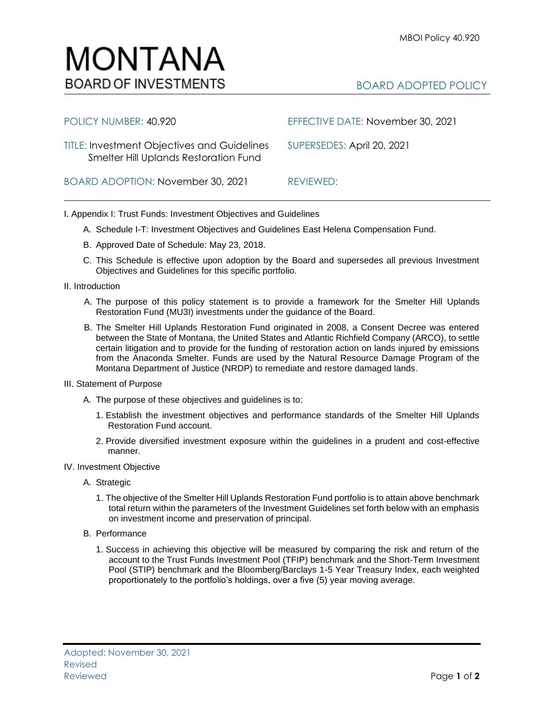

| POLICY NUMBER: 40.920                                                                       | EFFECTIVE DATE: November 30, 2021 |
|---------------------------------------------------------------------------------------------|-----------------------------------|
| <b>TITLE: Investment Objectives and Guidelines</b><br>Smelter Hill Uplands Restoration Fund | SUPERSEDES: April 20, 2021        |
| BOARD ADOPTION: November 30, 2021                                                           | REVIEWED:                         |

I. Appendix I: Trust Funds: Investment Objectives and Guidelines

- A. Schedule I-T: Investment Objectives and Guidelines East Helena Compensation Fund.
- B. Approved Date of Schedule: May 23, 2018.
- C. This Schedule is effective upon adoption by the Board and supersedes all previous Investment Objectives and Guidelines for this specific portfolio*.*
- II. Introduction
	- A. The purpose of this policy statement is to provide a framework for the Smelter Hill Uplands Restoration Fund (MU3I) investments under the guidance of the Board.
	- B. The Smelter Hill Uplands Restoration Fund originated in 2008, a Consent Decree was entered between the State of Montana, the United States and Atlantic Richfield Company (ARCO), to settle certain litigation and to provide for the funding of restoration action on lands injured by emissions from the Anaconda Smelter. Funds are used by the Natural Resource Damage Program of the Montana Department of Justice (NRDP) to remediate and restore damaged lands.
- III. Statement of Purpose
	- A. The purpose of these objectives and guidelines is to:
		- 1. Establish the investment objectives and performance standards of the Smelter Hill Uplands Restoration Fund account.
		- 2. Provide diversified investment exposure within the guidelines in a prudent and cost-effective manner.
- IV. Investment Objective
	- A. Strategic
		- 1. The objective of the Smelter Hill Uplands Restoration Fund portfolio is to attain above benchmark total return within the parameters of the Investment Guidelines set forth below with an emphasis on investment income and preservation of principal.
	- B. Performance
		- 1. Success in achieving this objective will be measured by comparing the risk and return of the account to the Trust Funds Investment Pool (TFIP) benchmark and the Short-Term Investment Pool (STIP) benchmark and the Bloomberg/Barclays 1-5 Year Treasury Index, each weighted proportionately to the portfolio's holdings, over a five (5) year moving average.